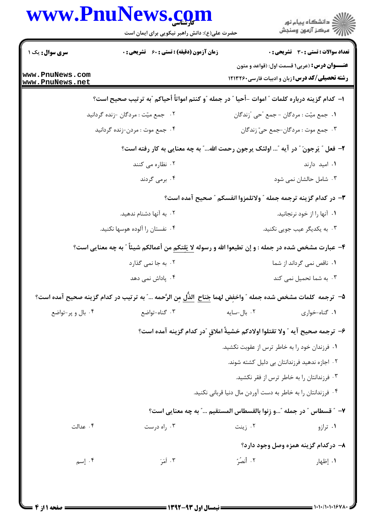|                                    | www.PnuNews.com<br>حضرت علی(ع): دانش راهبر نیکویی برای ایمان است                                                 |             | ڪ دانشڪاه پيام نور<br>۾ سرڪز آزمون وسنڊش                                                                        |  |
|------------------------------------|------------------------------------------------------------------------------------------------------------------|-------------|-----------------------------------------------------------------------------------------------------------------|--|
| سری سوال: یک ۱                     | زمان آزمون (دقیقه) : تستی : 60 ٪ تشریحی : 0                                                                      |             | <b>تعداد سوالات : تستی : 30 ٪ تشریحی : 0</b>                                                                    |  |
| www.PnuNews.com<br>www.PnuNews.net |                                                                                                                  |             | <b>عنـــوان درس:</b> (عربی۱ قسمت اول: (قواعد و متون<br><b>رشته تحصیلی/کد درس:</b> زبان و ادبیات فارسی۲۶۰×۱۲۱۳۲۶ |  |
|                                    | ا– كدام گزينه درباره كلمات ″ اموات –أحيا ″ در جمله ″و كنتم امواتاً أحياكم ″به ترتيب صحيح است؟                    |             |                                                                                                                 |  |
|                                    | ۰۲ جمع میّت : مردگان -زنده گردانید                                                                               |             | ١. جمع ميّت : مردگان - جمع "حي "زندگان                                                                          |  |
|                                    | ۰۴ جمع موت : مردن-زنده گردانيد                                                                                   |             | ۰۳ جمع موت : مردگان-جمع حيّ زندگان                                                                              |  |
|                                    | ٢- فعل ″ يَرجونَ ″ در آيه ″ اولئک پرجون رحمت الله″ به چه معنايي به کار رفته است؟                                 |             |                                                                                                                 |  |
|                                    | ۰۲ نظاره می کنند                                                                                                 |             | ۰۱ امید دارند                                                                                                   |  |
|                                    | ۰۴ برمی گردند                                                                                                    |             | ۰۳ شامل حالشان نمی شود                                                                                          |  |
|                                    |                                                                                                                  |             | ۳- در کدام گزینه ترجمه جمله ″ ولاتلمزوا انفسکم ″ صحیح آمده است؟                                                 |  |
|                                    | ۲. به آنها دشنام ندهید.                                                                                          |             | ۰۱ آنها را از خود نرنجانید.                                                                                     |  |
|                                    | ۰۴ نفستان را آلوده هوسها نكنيد.                                                                                  |             | ۰۳ به یکدیگر عیب جویی نکنید.                                                                                    |  |
|                                    | ۴- عبارت مشخص شده در جمله : و إن تطيعوا الله و رسوله <u>لا يَلتكم</u> من أعمالكم شيئاً ″ به چه معنايي است؟       |             |                                                                                                                 |  |
|                                    | ۰۲ به جا نمی گذارد                                                                                               |             | ۰۱ ناقص نمی گرداند از شما                                                                                       |  |
|                                    | ۰۴ پاداش نمی دهد                                                                                                 |             | ۰۳ به شما تحمیل نمی کند                                                                                         |  |
|                                    | ۵−  ترجمه  كلمات مشخص شده جمله ″ واخفِض لهما جَناح  الذَّل مِن الرَّحمه …" به ترتيب در كدام گزينه صحيح آمده است؟ |             |                                                                                                                 |  |
| ۰۴ بال و پر-تواضع                  | ۰۳ گناه-تواضع                                                                                                    | ۰۲ بال-سایه | ۰۱ گناه-خواري                                                                                                   |  |
|                                    | ۶- ترجمه صحيح آيه ″ ولا تقتلوا اولادكم خشيةً املاقٍ ″در كدام گزينه آمده است؟                                     |             |                                                                                                                 |  |
|                                    |                                                                                                                  |             | ۰۱ فرزندان خود را به خاطر ترس از عقوبت نکشید.                                                                   |  |
|                                    |                                                                                                                  |             | ۰۲ اجازه ندهید فرزندانتان بی دلیل کشته شوند.                                                                    |  |
|                                    |                                                                                                                  |             | ۰۳ فرزندانتان را به خاطر ترس از فقر نکشید.                                                                      |  |
|                                    |                                                                                                                  |             | ۰۴ فرزندانتان را به خاطر به دست آوردن مال دنیا قربانی نکنید.                                                    |  |
|                                    | ٧-- " قسطاس " در جمله "…و زِنوا بالقسطاس المستقيم …" به چه معنايي است؟                                           |             |                                                                                                                 |  |
| ۰۴ عدالت                           | ۰۳ راه درست                                                                                                      | ۰۲ زینت     | ۰۱ ترازو                                                                                                        |  |
|                                    |                                                                                                                  |             | ۸– درکدام گزینه همزه وصل وجود دارد؟                                                                             |  |
| ۰۴ إسم                             | ۰۳ أمَرَ                                                                                                         | ٢. أنصُرُ   | ۰۱ إظهار                                                                                                        |  |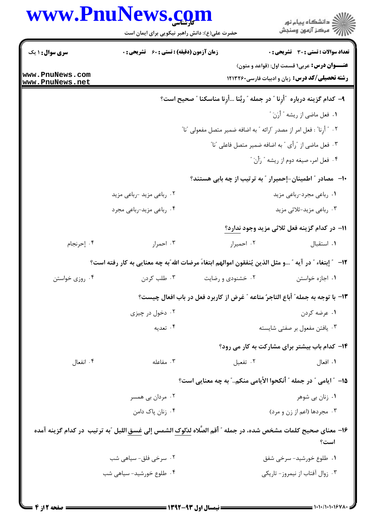## www.PnuNews.com

|                                  | www.PnuNews.com<br>حضرت علی(ع): دانش راهبر نیکویی برای ایمان است                                                              |                   | ڪ دانشڪاه پيام نور<br> 77 مرڪز آزمون وسنڊش                                                                    |  |  |
|----------------------------------|-------------------------------------------------------------------------------------------------------------------------------|-------------------|---------------------------------------------------------------------------------------------------------------|--|--|
| <b>سری سوال : ۱ یک</b>           | <b>زمان آزمون (دقیقه) : تستی : 60 ٪ تشریحی : 0</b>                                                                            |                   | <b>تعداد سوالات : تستی : 30 ٪ تشریحی : 0</b>                                                                  |  |  |
| ww.PnuNews.com<br>ww.PnuNews.net |                                                                                                                               |                   | <b>عنـــوان درس:</b> عربي۱ قسمت اول: (قواعد و متون)<br><b>رشته تحصیلی/کد درس:</b> زبان و ادبیات فارسی ۱۲۱۳۲۶۰ |  |  |
|                                  |                                                                                                                               |                   | ٩- كدام گزينه درباره ″أرِنا ″ در جمله ″ ربَّنا أرِنا مناسكنا ″ صحيح است؟                                      |  |  |
|                                  |                                                                                                                               |                   | ١. فعل ماضي از ريشه " أرَنَ "                                                                                 |  |  |
|                                  | ٠٢ " أُرِنا" : فعل امر از مصدر "ارائه " به اضافه ضمير متصل مفعولى "نا"<br>۰۳ فعل ماضی از "رأی " به اضافه ضمیر متصل فاعلی "نا" |                   |                                                                                                               |  |  |
|                                  |                                                                                                                               |                   |                                                                                                               |  |  |
|                                  |                                                                                                                               |                   | ۰۴ فعل امر، صيغه دوم از ريشه " رَأْنَ "                                                                       |  |  |
|                                  |                                                                                                                               |                   | ∙۱-٪ مصادر ″ اطمینان-إحمیرار ″ به ترتیب از چه بابی هستند؟                                                     |  |  |
|                                  | ۰۲ رباعی مزید -رباعی مزید                                                                                                     |                   | ۰۱ رباعی مجرد-رباعی مزید                                                                                      |  |  |
|                                  | ۰۴ رباعی مزید-رباعی مجرد                                                                                                      |                   | ۰۳ رباعی مزید-ثلاثی مزید                                                                                      |  |  |
|                                  |                                                                                                                               |                   | 11– در كدام گزينه فعل ثلاثي مزيد وجود ندارد؟                                                                  |  |  |
| ۰۴ إحرنجام                       | ۰۳ احمرار                                                                                                                     | ۰۲ احمیرار        | ٠١ استقبال                                                                                                    |  |  |
|                                  | ١٢− ٪ إبتغاء ″ در آيه ″ و مثل الذين يُنفقون اموالهم ابتغاءَ مرضات الله″به چه معنايي به كار رفته است؟                          |                   |                                                                                                               |  |  |
| ۰۴ روزی خواستن                   | ۰۳ طلب کردن                                                                                                                   | ۰۲ خشنودی و رضایت | ۰۱ اجازه خواستن                                                                                               |  |  |
|                                  | ۱۳– با توجه به جمله" أباع التاجرُ متاعه " غرض از کاربرد فعل در باب افعال چیست؟                                                |                   |                                                                                                               |  |  |
|                                  | ۰۲ دخول در چيزي                                                                                                               |                   | ۰۱ عرضه کردن                                                                                                  |  |  |
|                                  | ۰۴ تعدیه                                                                                                                      |                   | ۰۳ یافتن مفعول بر صفتی شایسته                                                                                 |  |  |
|                                  |                                                                                                                               |                   | <b>۱۴</b> - کدام باب بیشتر برای مشارکت به کار می رود؟                                                         |  |  |
| ۰۴ انفعال                        | ۰۳ مفاعله                                                                                                                     | ۰۲ تفعیل          | ٠١. افعال                                                                                                     |  |  |
|                                  |                                                                                                                               |                   | 1۵– ″ ایامی ″ در جمله ″ اُنکحوا الأیامی منکم″ به چه معنایی است؟                                               |  |  |
|                                  | ۰۲ مردان بی همسر                                                                                                              |                   | ۰۱ زنان بي شوهر                                                                                               |  |  |
|                                  | ۰۴ زنان پاک دامن                                                                                                              |                   | ۰۳ مجردها (اعم از زن و مرد)                                                                                   |  |  |
|                                  | ۱۶− معنای صحیح کلمات مشخص شده، در جمله ″ أقم الصّلاه لدٌلوک الشمس إلى <u>غسق</u> اللیل ″به ترتیب  در کدام گزینه آمده          |                   | است؟                                                                                                          |  |  |
|                                  | ۰۲ سرخی فلق- سیاهی شب                                                                                                         |                   | ۰۱ طلوع خورشید- سرخی شفق                                                                                      |  |  |
|                                  | ۰۴ طلوع خورشید- سیاهی شب                                                                                                      |                   | ۰۳ زوال آفتاب از نیمروز- تاریکی                                                                               |  |  |
|                                  |                                                                                                                               |                   |                                                                                                               |  |  |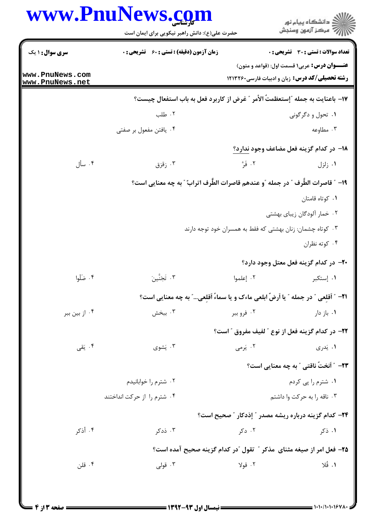|                                    | www.PnuNews.com                                                                   |                                                            | ڪ دانشڪاه پيا <sub>م</sub> نور<br>ر <i>7</i> مرڪز آزمون وسنڊش                                                   |
|------------------------------------|-----------------------------------------------------------------------------------|------------------------------------------------------------|-----------------------------------------------------------------------------------------------------------------|
|                                    | حضرت علی(ع): دانش راهبر نیکویی برای ایمان است                                     |                                                            |                                                                                                                 |
| <b>سری سوال : ۱ یک</b>             | <b>زمان آزمون (دقیقه) : تستی : 60 ٪ تشریحی : 0</b>                                |                                                            | تعداد سوالات : تستى : 30 قشريحى : 0                                                                             |
| www.PnuNews.com<br>www.PnuNews.net |                                                                                   |                                                            | <b>عنـــوان درس:</b> عربی۱ قسمت اول: (قواعد و متون)<br><b>رشته تحصیلی/کد درس:</b> زبان و ادبیات فارسی۲۶۰×۱۲۱۳۲۶ |
|                                    | ۱۷– باعنایت به جمله "إستعظمتٌ الأمر " غرض از کاربرد فعل به باب استفعال چیست؟      |                                                            |                                                                                                                 |
|                                    | ۰۲ طلب                                                                            |                                                            | ۰۱ تحول و دگرگونی                                                                                               |
|                                    | ۰۴ یافتن مفعول بر صفتی                                                            |                                                            | ۰۳ مطاوعه                                                                                                       |
|                                    |                                                                                   |                                                            | 18– در کدام گزینه فعل مضاعف وجود ندارد؟                                                                         |
| ۰۴ سأل                             | ۰۳ زقزق                                                                           | ٢. فَرَّ                                                   | ۰۱ زلزل                                                                                                         |
|                                    | ١٩- ″ قاصرات الطَّرف ″ در جمله ″و عندهم قاصرات الطَّرف اترابٌ ″ به چه معنایی است؟ |                                                            |                                                                                                                 |
|                                    |                                                                                   |                                                            | ٠١ كوتاه قامتان                                                                                                 |
|                                    |                                                                                   |                                                            | ۰۲ خمار آلودگان زیبای بهشتی                                                                                     |
|                                    |                                                                                   | ۰۳ کوتاه چشمان: زنان بهشتی که فقط به همسران خود توجه دارند |                                                                                                                 |
|                                    |                                                                                   |                                                            | ۰۴ کوته نظران                                                                                                   |
|                                    |                                                                                   |                                                            | +۲- در کدام گزینه فعل معتل وجود دارد؟                                                                           |
| ۰۴ ضَلْوا                          | ۴. تَجَنَّينَ                                                                     | ۰۲ إعلموا                                                  | ۰۱ إستكبر                                                                                                       |
|                                    | 21− ″ اَقلعي ″ در جمله ″ یا اَرضٌ ابلعي ماءک و یا سماءُ اَقلعي″ به چه معنایي است؟ |                                                            |                                                                                                                 |
| ۰۴ از بین ببر                      | ۰۳ ببخش                                                                           | ۰۲ فرو ببر                                                 | ۰۱. باز دار                                                                                                     |
|                                    |                                                                                   |                                                            | ٢٢- در كدام گزينه فعل از نوع " لفيف مفروق " است؟                                                                |
| ۰۴ يَقى                            | ۰۳ يَشوي                                                                          | ۰۲ پرمی                                                    | ۰۱ پَدری                                                                                                        |
|                                    |                                                                                   |                                                            | <b>۲۳</b> – ″ اَنختٌ ناقتی ″ به چه معنایی است؟                                                                  |
|                                    | ۰۲ شترم را خوابانیدم                                                              |                                                            | ۰۱ شترم را پی کردم                                                                                              |
|                                    | ۰۴ شترم را از حرکت انداختند                                                       |                                                            | ۰۳ ناقه را به حرکت وا داشتم                                                                                     |
|                                    |                                                                                   |                                                            | <b>34- كدام گزینه درباره ریشه مصدر " إذدكار " صحیح است؟</b>                                                     |
| ۴. أذكر                            | ۰۳ ذدکر                                                                           | ۰۲ دکړ                                                     | ۰۱ ذکر                                                                                                          |
|                                    | ۲۵– فعل امر از صیغه مثنای مذکر " تقول "در کدام گزینه صحیح آمده است؟               |                                                            |                                                                                                                 |
| ۰۴ قلن                             | ۰۳ قولی                                                                           | ۰۲ قولا                                                    | ١. قُلا                                                                                                         |